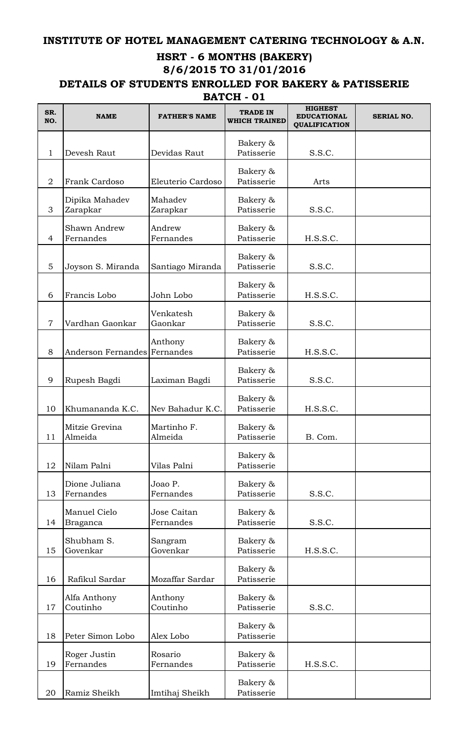## **INSTITUTE OF HOTEL MANAGEMENT CATERING TECHNOLOGY & A.N.**

## **HSRT - 6 MONTHS (BAKERY) DETAILS OF STUDENTS ENROLLED FOR BAKERY & PATISSERIE BATCH - 01 8/6/2015 TO 31/01/2016**

| SR.<br>NO.     | <b>NAME</b>                      | <b>FATHER'S NAME</b>     | <b>TRADE IN</b><br><b>WHICH TRAINED</b> | <b>HIGHEST</b><br><b>EDUCATIONAL</b><br><b>QUALIFICATION</b> | <b>SERIAL NO.</b> |
|----------------|----------------------------------|--------------------------|-----------------------------------------|--------------------------------------------------------------|-------------------|
| $\mathbf 1$    | Devesh Raut                      | Devidas Raut             | Bakery &<br>Patisserie                  | S.S.C.                                                       |                   |
| $\overline{2}$ | Frank Cardoso                    | Eleuterio Cardoso        | Bakery &<br>Patisserie                  | Arts                                                         |                   |
| 3              | Dipika Mahadev<br>Zarapkar       | Mahadev<br>Zarapkar      | Bakery &<br>Patisserie                  | S.S.C.                                                       |                   |
| $\overline{4}$ | <b>Shawn Andrew</b><br>Fernandes | Andrew<br>Fernandes      | Bakery &<br>Patisserie                  | H.S.S.C.                                                     |                   |
| 5              | Joyson S. Miranda                | Santiago Miranda         | Bakery &<br>Patisserie                  | S.S.C.                                                       |                   |
| 6              | Francis Lobo                     | John Lobo                | Bakery &<br>Patisserie                  | H.S.S.C.                                                     |                   |
| $\overline{7}$ | Vardhan Gaonkar                  | Venkatesh<br>Gaonkar     | Bakery &<br>Patisserie                  | S.S.C.                                                       |                   |
| 8              | Anderson Fernandes Fernandes     | Anthony                  | Bakery &<br>Patisserie                  | H.S.S.C.                                                     |                   |
| 9              | Rupesh Bagdi                     | Laximan Bagdi            | Bakery &<br>Patisserie                  | S.S.C.                                                       |                   |
| 10             | Khumananda K.C.                  | Nev Bahadur K.C.         | Bakery &<br>Patisserie                  | H.S.S.C.                                                     |                   |
| 11             | Mitzie Grevina<br>Almeida        | Martinho F.<br>Almeida   | Bakery &<br>Patisserie                  | B. Com.                                                      |                   |
| 12             | Nilam Palni                      | Vilas Palni              | Bakery &<br>Patisserie                  |                                                              |                   |
| 13             | Dione Juliana<br>Fernandes       | Joao P.<br>Fernandes     | Bakery &<br>Patisserie                  | S.S.C.                                                       |                   |
| 14             | Manuel Cielo<br><b>Braganca</b>  | Jose Caitan<br>Fernandes | Bakery &<br>Patisserie                  | S.S.C.                                                       |                   |
| 15             | Shubham S.<br>Govenkar           | Sangram<br>Govenkar      | Bakery &<br>Patisserie                  | H.S.S.C.                                                     |                   |
| 16             | Rafikul Sardar                   | Mozaffar Sardar          | Bakery &<br>Patisserie                  |                                                              |                   |
| 17             | Alfa Anthony<br>Coutinho         | Anthony<br>Coutinho      | Bakery &<br>Patisserie                  | S.S.C.                                                       |                   |
| 18             | Peter Simon Lobo                 | Alex Lobo                | Bakery &<br>Patisserie                  |                                                              |                   |
| 19             | Roger Justin<br>Fernandes        | Rosario<br>Fernandes     | Bakery &<br>Patisserie                  | H.S.S.C.                                                     |                   |
| 20             | Ramiz Sheikh                     | Imtihaj Sheikh           | Bakery &<br>Patisserie                  |                                                              |                   |